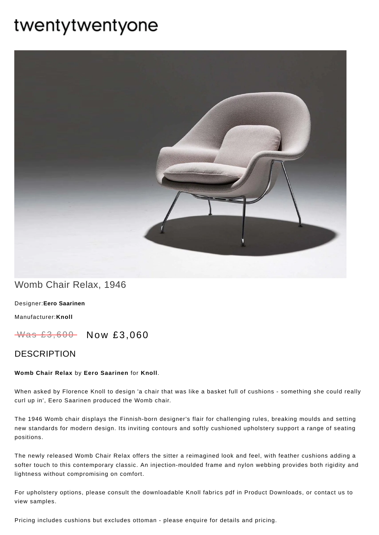# twentytwentyone



## Womb Chair Relax, 1946

[Designer:](https://www.twentytwentyone.com/collections/designers-eero-saarinen)**Eero Saarinen**

[Manufacturer:](https://www.twentytwentyone.com/collections/manufacturers-knoll)**Knoll**

Was £3,600 Now £3,060

### DESCRIPTION

#### **Womb Chair Relax** by **Eero [Saarinen](http://twentytwentyone.com/designer/eero-saarinen)** for **[Knoll](http://twentytwentyone.com/manufacturer/knoll)**.

When asked by Florence Knoll to design 'a chair that was like a basket full of cushions - something she could really curl up in', Eero Saarinen produced the Womb chair.

The 1946 Womb chair displays the Finnish-born designer's flair for challenging rules, breaking moulds and setting new standards for modern design. Its inviting contours and softly cushioned upholstery support a range of seating positions.

The newly released Womb Chair Relax offers the sitter a reimagined look and feel, with feather cushions adding a softer touch to this contemporary classic. An injection-moulded frame and nylon webbing provides both rigidity and lightness without compromising on comfort.

For upholstery options, please consult the downloadable Knoll fabrics pdf in Product Downloads, or contact us to view samples.

Pricing includes cushions but excludes ottoman - please enquire for details and pricing.